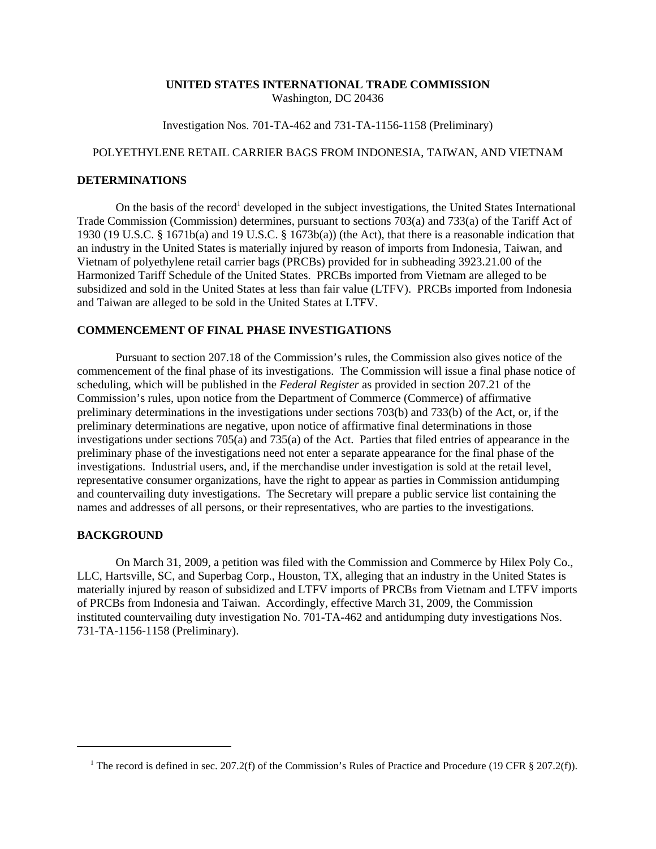### **UNITED STATES INTERNATIONAL TRADE COMMISSION** Washington, DC 20436

Investigation Nos. 701-TA-462 and 731-TA-1156-1158 (Preliminary)

## POLYETHYLENE RETAIL CARRIER BAGS FROM INDONESIA, TAIWAN, AND VIETNAM

#### **DETERMINATIONS**

On the basis of the record<sup>1</sup> developed in the subject investigations, the United States International Trade Commission (Commission) determines, pursuant to sections 703(a) and 733(a) of the Tariff Act of 1930 (19 U.S.C. § 1671b(a) and 19 U.S.C. § 1673b(a)) (the Act), that there is a reasonable indication that an industry in the United States is materially injured by reason of imports from Indonesia, Taiwan, and Vietnam of polyethylene retail carrier bags (PRCBs) provided for in subheading 3923.21.00 of the Harmonized Tariff Schedule of the United States. PRCBs imported from Vietnam are alleged to be subsidized and sold in the United States at less than fair value (LTFV). PRCBs imported from Indonesia and Taiwan are alleged to be sold in the United States at LTFV.

# **COMMENCEMENT OF FINAL PHASE INVESTIGATIONS**

Pursuant to section 207.18 of the Commission's rules, the Commission also gives notice of the commencement of the final phase of its investigations. The Commission will issue a final phase notice of scheduling, which will be published in the *Federal Register* as provided in section 207.21 of the Commission's rules, upon notice from the Department of Commerce (Commerce) of affirmative preliminary determinations in the investigations under sections 703(b) and 733(b) of the Act, or, if the preliminary determinations are negative, upon notice of affirmative final determinations in those investigations under sections 705(a) and 735(a) of the Act. Parties that filed entries of appearance in the preliminary phase of the investigations need not enter a separate appearance for the final phase of the investigations. Industrial users, and, if the merchandise under investigation is sold at the retail level, representative consumer organizations, have the right to appear as parties in Commission antidumping and countervailing duty investigations. The Secretary will prepare a public service list containing the names and addresses of all persons, or their representatives, who are parties to the investigations.

#### **BACKGROUND**

On March 31, 2009, a petition was filed with the Commission and Commerce by Hilex Poly Co., LLC, Hartsville, SC, and Superbag Corp., Houston, TX, alleging that an industry in the United States is materially injured by reason of subsidized and LTFV imports of PRCBs from Vietnam and LTFV imports of PRCBs from Indonesia and Taiwan. Accordingly, effective March 31, 2009, the Commission instituted countervailing duty investigation No. 701-TA-462 and antidumping duty investigations Nos. 731-TA-1156-1158 (Preliminary).

<sup>&</sup>lt;sup>1</sup> The record is defined in sec. 207.2(f) of the Commission's Rules of Practice and Procedure (19 CFR § 207.2(f)).